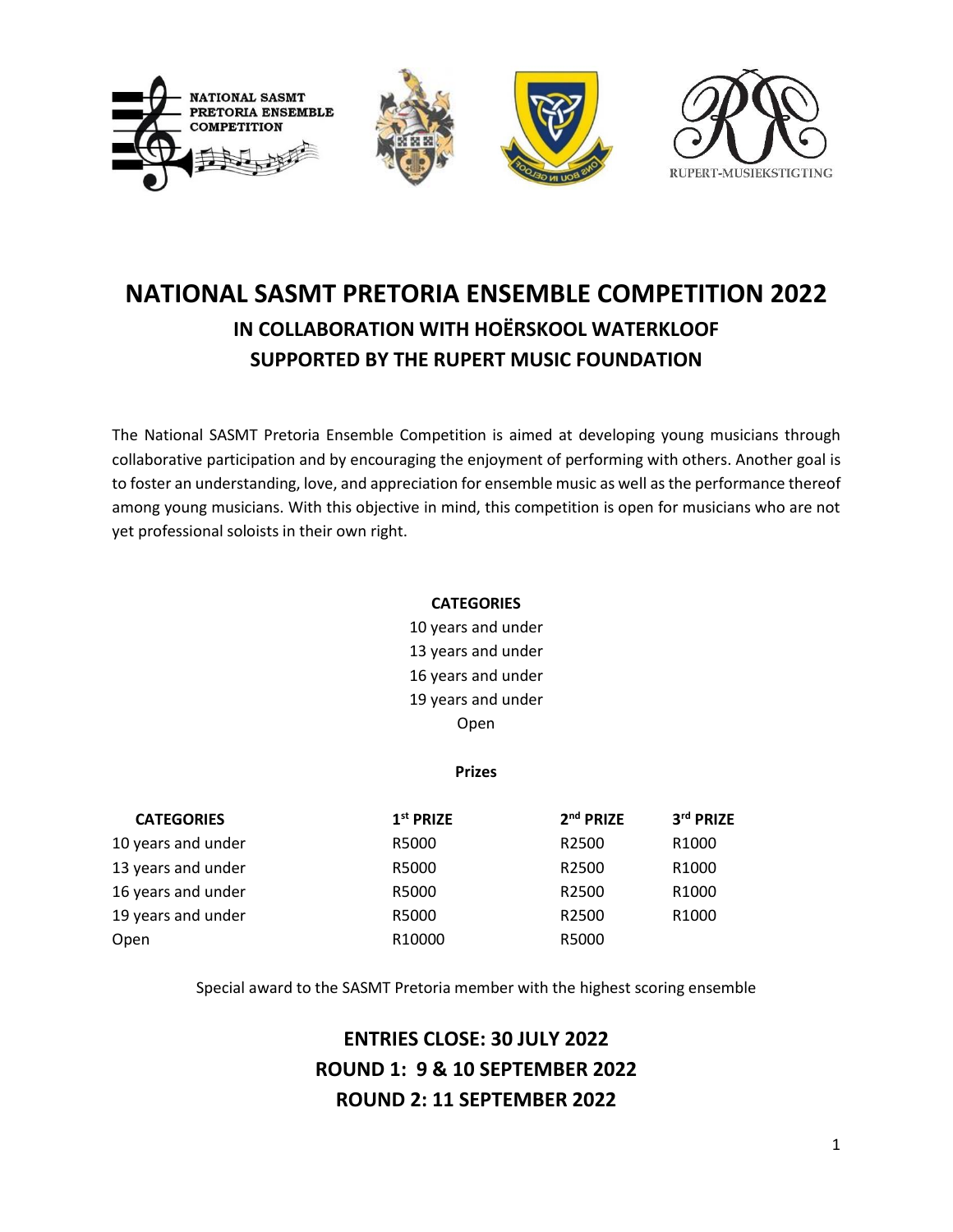

# **NATIONAL SASMT PRETORIA ENSEMBLE COMPETITION 2022 IN COLLABORATION WITH HOËRSKOOL WATERKLOOF SUPPORTED BY THE RUPERT MUSIC FOUNDATION**

The National SASMT Pretoria Ensemble Competition is aimed at developing young musicians through collaborative participation and by encouraging the enjoyment of performing with others. Another goal is to foster an understanding, love, and appreciation for ensemble music as well as the performance thereof among young musicians. With this objective in mind, this competition is open for musicians who are not yet professional soloists in their own right.

### **CATEGORIES**

10 years and under 13 years and under 16 years and under 19 years and under Open

#### **Prizes**

| <b>CATEGORIES</b>  | 1 <sup>st</sup> PRIZE | 2 <sup>nd</sup> PRIZE | 3rd PRIZE         |
|--------------------|-----------------------|-----------------------|-------------------|
| 10 years and under | R5000                 | R <sub>2500</sub>     | R <sub>1000</sub> |
| 13 years and under | R5000                 | R <sub>2500</sub>     | R <sub>1000</sub> |
| 16 years and under | R5000                 | R2500                 | R <sub>1000</sub> |
| 19 years and under | R5000                 | R <sub>2500</sub>     | R <sub>1000</sub> |
| Open               | R10000                | R5000                 |                   |

Special award to the SASMT Pretoria member with the highest scoring ensemble

# **ENTRIES CLOSE: 30 JULY 2022 ROUND 1: 9 & 10 SEPTEMBER 2022 ROUND 2: 11 SEPTEMBER 2022**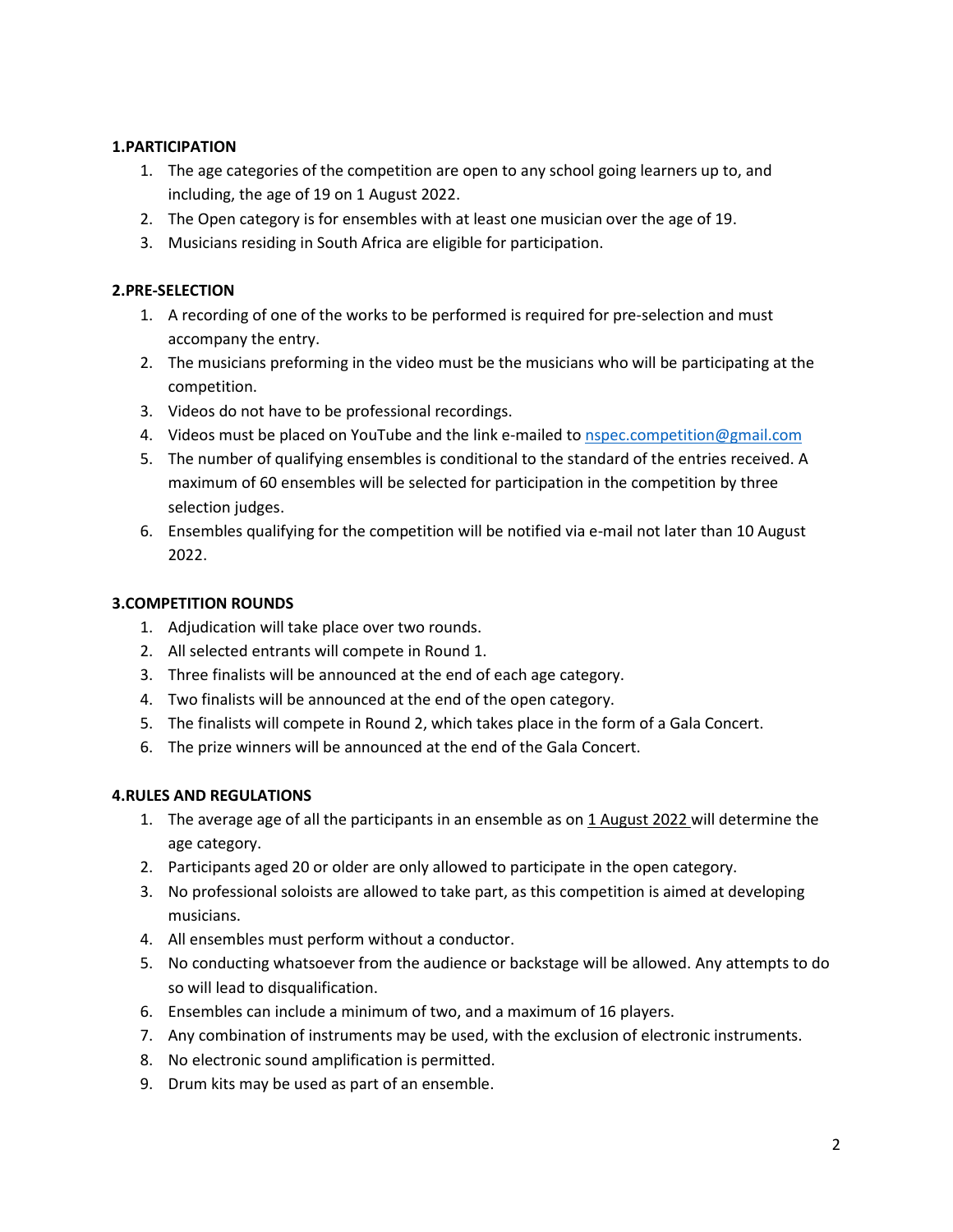## **1.PARTICIPATION**

- 1. The age categories of the competition are open to any school going learners up to, and including, the age of 19 on 1 August 2022.
- 2. The Open category is for ensembles with at least one musician over the age of 19.
- 3. Musicians residing in South Africa are eligible for participation.

## **2.PRE-SELECTION**

- 1. A recording of one of the works to be performed is required for pre-selection and must accompany the entry.
- 2. The musicians preforming in the video must be the musicians who will be participating at the competition.
- 3. Videos do not have to be professional recordings.
- 4. Videos must be placed on YouTube and the link e-mailed to [nspec.competition@gmail.com](mailto:nspec.competition@gmail.com)
- 5. The number of qualifying ensembles is conditional to the standard of the entries received. A maximum of 60 ensembles will be selected for participation in the competition by three selection judges.
- 6. Ensembles qualifying for the competition will be notified via e-mail not later than 10 August 2022.

### **3.COMPETITION ROUNDS**

- 1. Adjudication will take place over two rounds.
- 2. All selected entrants will compete in Round 1.
- 3. Three finalists will be announced at the end of each age category.
- 4. Two finalists will be announced at the end of the open category.
- 5. The finalists will compete in Round 2, which takes place in the form of a Gala Concert.
- 6. The prize winners will be announced at the end of the Gala Concert.

#### **4.RULES AND REGULATIONS**

- 1. The average age of all the participants in an ensemble as on 1 August 2022 will determine the age category.
- 2. Participants aged 20 or older are only allowed to participate in the open category.
- 3. No professional soloists are allowed to take part, as this competition is aimed at developing musicians.
- 4. All ensembles must perform without a conductor.
- 5. No conducting whatsoever from the audience or backstage will be allowed. Any attempts to do so will lead to disqualification.
- 6. Ensembles can include a minimum of two, and a maximum of 16 players.
- 7. Any combination of instruments may be used, with the exclusion of electronic instruments.
- 8. No electronic sound amplification is permitted.
- 9. Drum kits may be used as part of an ensemble.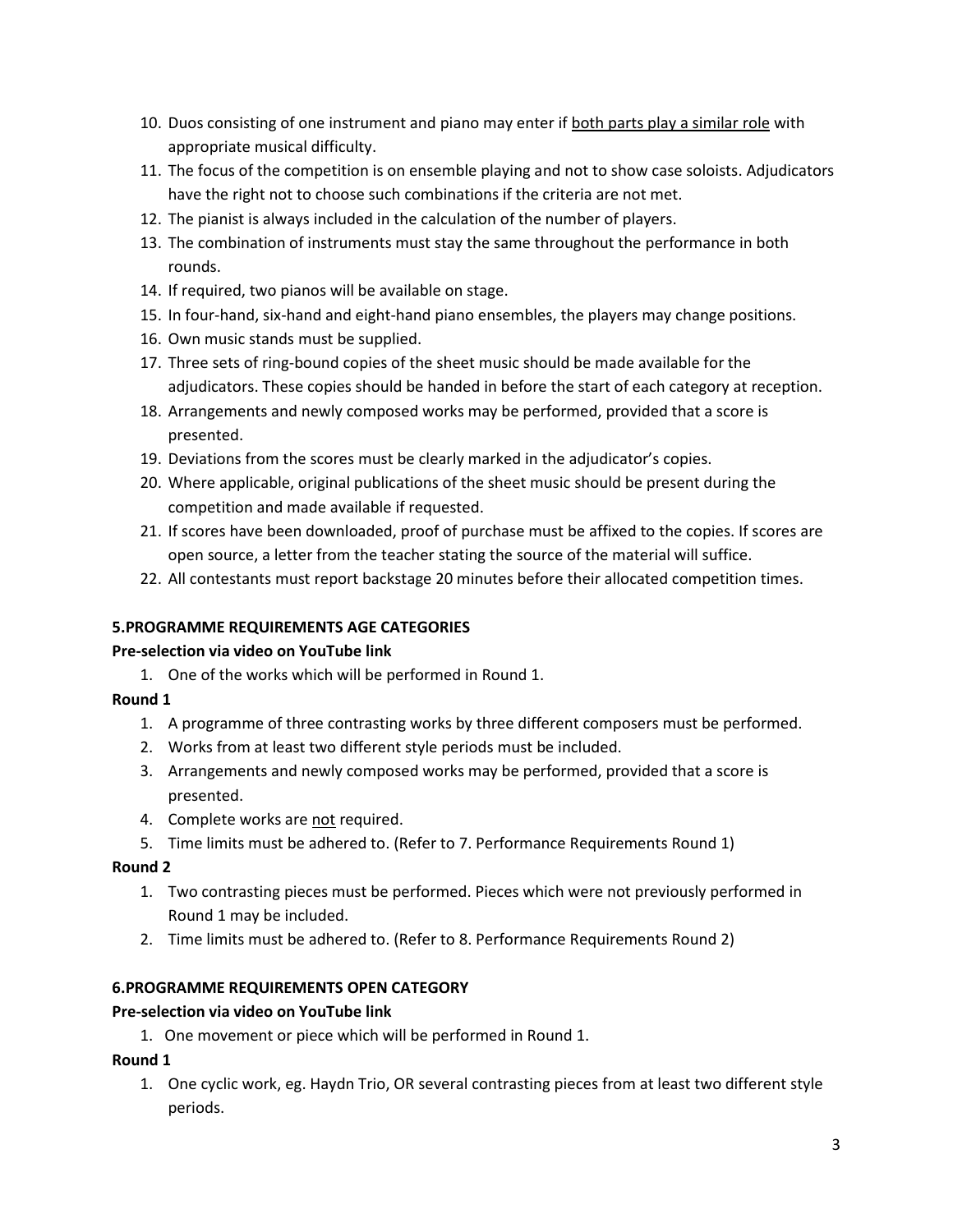- 10. Duos consisting of one instrument and piano may enter if both parts play a similar role with appropriate musical difficulty.
- 11. The focus of the competition is on ensemble playing and not to show case soloists. Adjudicators have the right not to choose such combinations if the criteria are not met.
- 12. The pianist is always included in the calculation of the number of players.
- 13. The combination of instruments must stay the same throughout the performance in both rounds.
- 14. If required, two pianos will be available on stage.
- 15. In four-hand, six-hand and eight-hand piano ensembles, the players may change positions.
- 16. Own music stands must be supplied.
- 17. Three sets of ring-bound copies of the sheet music should be made available for the adjudicators. These copies should be handed in before the start of each category at reception.
- 18. Arrangements and newly composed works may be performed, provided that a score is presented.
- 19. Deviations from the scores must be clearly marked in the adjudicator's copies.
- 20. Where applicable, original publications of the sheet music should be present during the competition and made available if requested.
- 21. If scores have been downloaded, proof of purchase must be affixed to the copies. If scores are open source, a letter from the teacher stating the source of the material will suffice.
- 22. All contestants must report backstage 20 minutes before their allocated competition times.

# **5.PROGRAMME REQUIREMENTS AGE CATEGORIES**

#### **Pre-selection via video on YouTube link**

1. One of the works which will be performed in Round 1.

#### **Round 1**

- 1. A programme of three contrasting works by three different composers must be performed.
- 2. Works from at least two different style periods must be included.
- 3. Arrangements and newly composed works may be performed, provided that a score is presented.
- 4. Complete works are not required.
- 5. Time limits must be adhered to. (Refer to 7. Performance Requirements Round 1)

#### **Round 2**

- 1. Two contrasting pieces must be performed. Pieces which were not previously performed in Round 1 may be included.
- 2. Time limits must be adhered to. (Refer to 8. Performance Requirements Round 2)

#### **6.PROGRAMME REQUIREMENTS OPEN CATEGORY**

#### **Pre-selection via video on YouTube link**

1. One movement or piece which will be performed in Round 1.

#### **Round 1**

1. One cyclic work, eg. Haydn Trio, OR several contrasting pieces from at least two different style periods.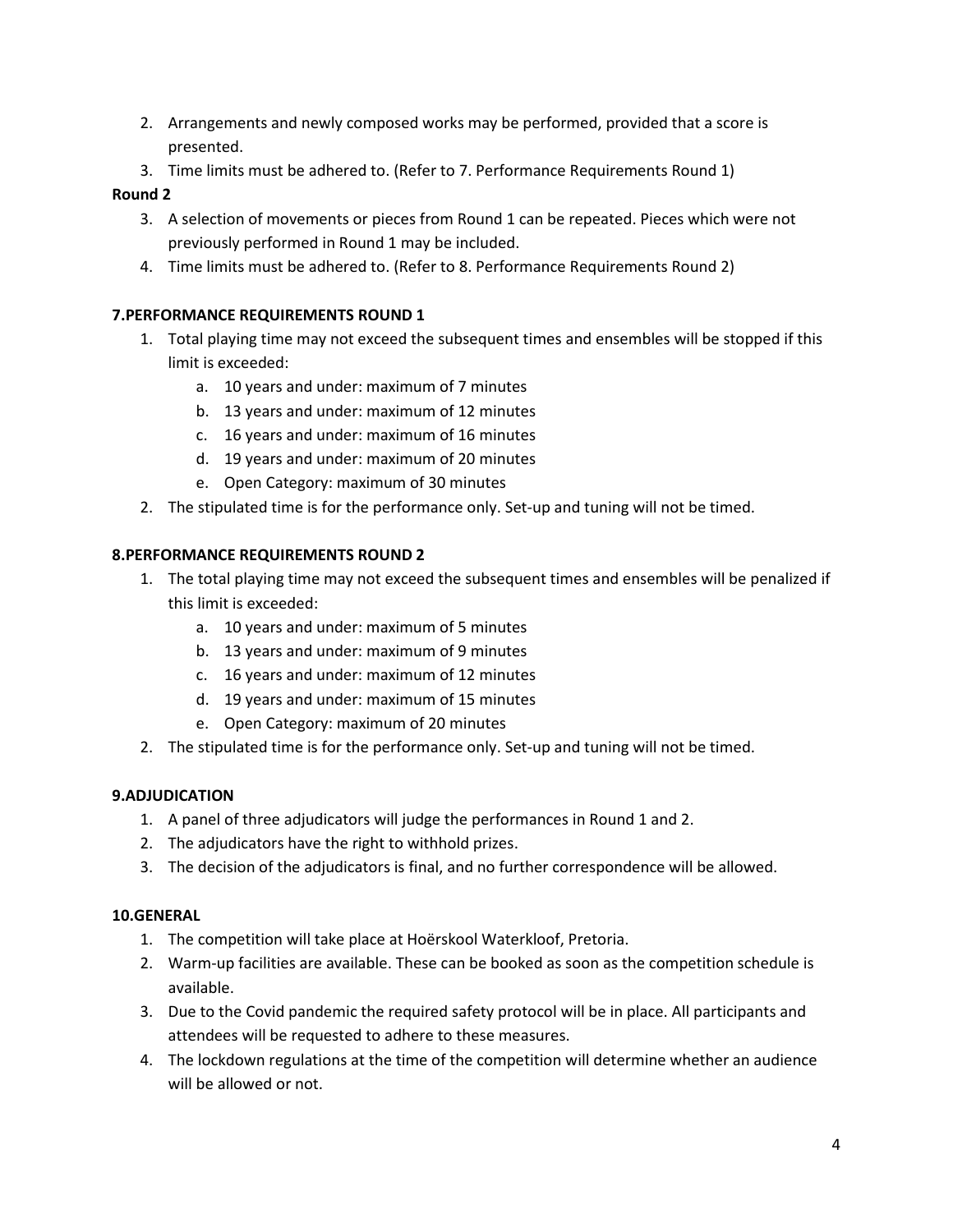- 2. Arrangements and newly composed works may be performed, provided that a score is presented.
- 3. Time limits must be adhered to. (Refer to 7. Performance Requirements Round 1)

# **Round 2**

- 3. A selection of movements or pieces from Round 1 can be repeated. Pieces which were not previously performed in Round 1 may be included.
- 4. Time limits must be adhered to. (Refer to 8. Performance Requirements Round 2)

# **7.PERFORMANCE REQUIREMENTS ROUND 1**

- 1. Total playing time may not exceed the subsequent times and ensembles will be stopped if this limit is exceeded:
	- a. 10 years and under: maximum of 7 minutes
	- b. 13 years and under: maximum of 12 minutes
	- c. 16 years and under: maximum of 16 minutes
	- d. 19 years and under: maximum of 20 minutes
	- e. Open Category: maximum of 30 minutes
- 2. The stipulated time is for the performance only. Set-up and tuning will not be timed.

# **8.PERFORMANCE REQUIREMENTS ROUND 2**

- 1. The total playing time may not exceed the subsequent times and ensembles will be penalized if this limit is exceeded:
	- a. 10 years and under: maximum of 5 minutes
	- b. 13 years and under: maximum of 9 minutes
	- c. 16 years and under: maximum of 12 minutes
	- d. 19 years and under: maximum of 15 minutes
	- e. Open Category: maximum of 20 minutes
- 2. The stipulated time is for the performance only. Set-up and tuning will not be timed.

# **9.ADJUDICATION**

- 1. A panel of three adjudicators will judge the performances in Round 1 and 2.
- 2. The adjudicators have the right to withhold prizes.
- 3. The decision of the adjudicators is final, and no further correspondence will be allowed.

#### **10.GENERAL**

- 1. The competition will take place at Hoërskool Waterkloof, Pretoria.
- 2. Warm-up facilities are available. These can be booked as soon as the competition schedule is available.
- 3. Due to the Covid pandemic the required safety protocol will be in place. All participants and attendees will be requested to adhere to these measures.
- 4. The lockdown regulations at the time of the competition will determine whether an audience will be allowed or not.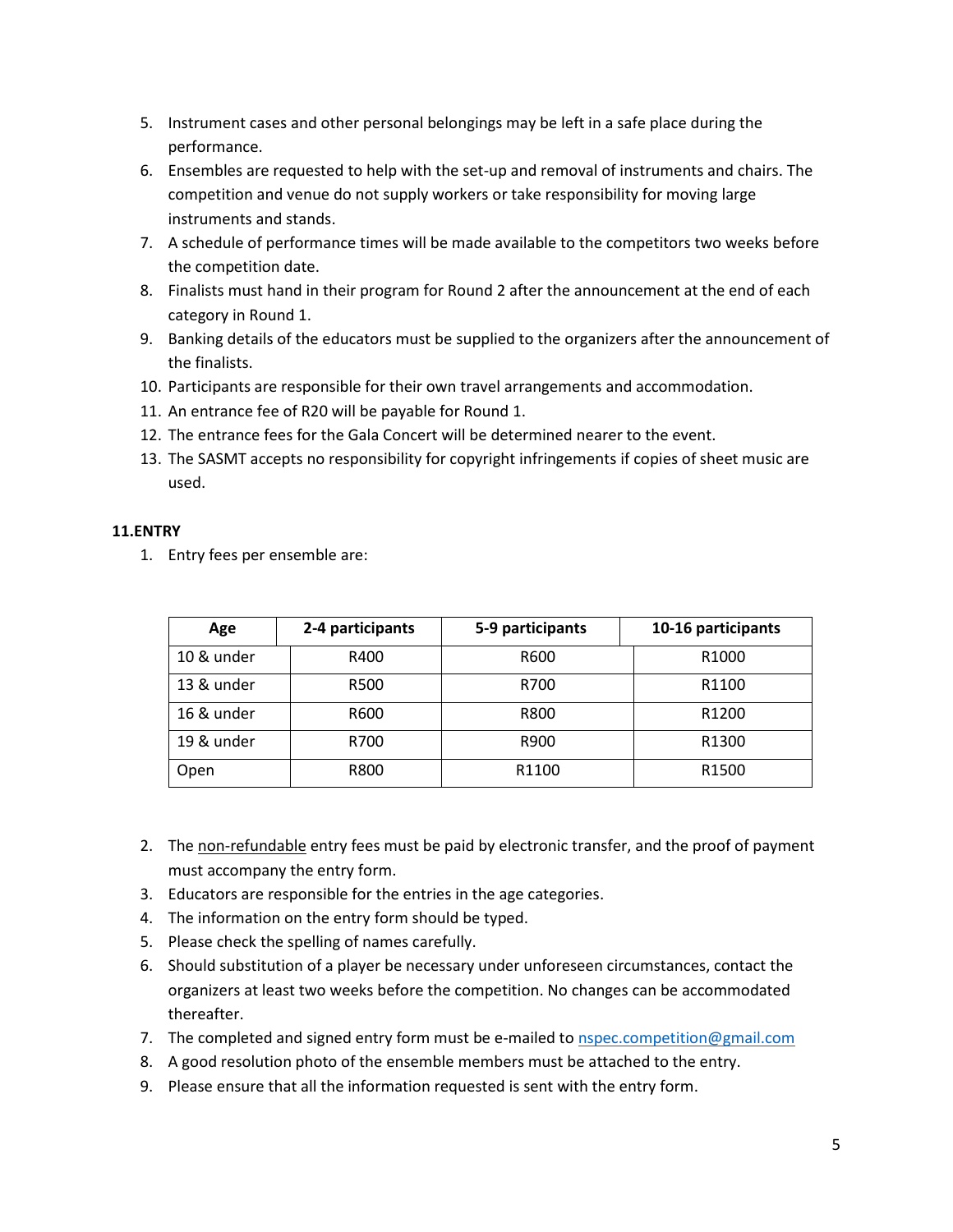- 5. Instrument cases and other personal belongings may be left in a safe place during the performance.
- 6. Ensembles are requested to help with the set-up and removal of instruments and chairs. The competition and venue do not supply workers or take responsibility for moving large instruments and stands.
- 7. A schedule of performance times will be made available to the competitors two weeks before the competition date.
- 8. Finalists must hand in their program for Round 2 after the announcement at the end of each category in Round 1.
- 9. Banking details of the educators must be supplied to the organizers after the announcement of the finalists.
- 10. Participants are responsible for their own travel arrangements and accommodation.
- 11. An entrance fee of R20 will be payable for Round 1.
- 12. The entrance fees for the Gala Concert will be determined nearer to the event.
- 13. The SASMT accepts no responsibility for copyright infringements if copies of sheet music are used.

#### **11.ENTRY**

1. Entry fees per ensemble are:

| Age        | 2-4 participants | 5-9 participants | 10-16 participants |
|------------|------------------|------------------|--------------------|
| 10 & under | R400             | R600             | R <sub>1000</sub>  |
| 13 & under | R500             | R700             | R1100              |
| 16 & under | R600             | R800             | R <sub>1200</sub>  |
| 19 & under | R700             | R900             | R1300              |
| Open       | R800             | R1100            | R1500              |

- 2. The non-refundable entry fees must be paid by electronic transfer, and the proof of payment must accompany the entry form.
- 3. Educators are responsible for the entries in the age categories.
- 4. The information on the entry form should be typed.
- 5. Please check the spelling of names carefully.
- 6. Should substitution of a player be necessary under unforeseen circumstances, contact the organizers at least two weeks before the competition. No changes can be accommodated thereafter.
- 7. The completed and signed entry form must be e-mailed to **nspec.competition@gmail.com**
- 8. A good resolution photo of the ensemble members must be attached to the entry.
- 9. Please ensure that all the information requested is sent with the entry form.